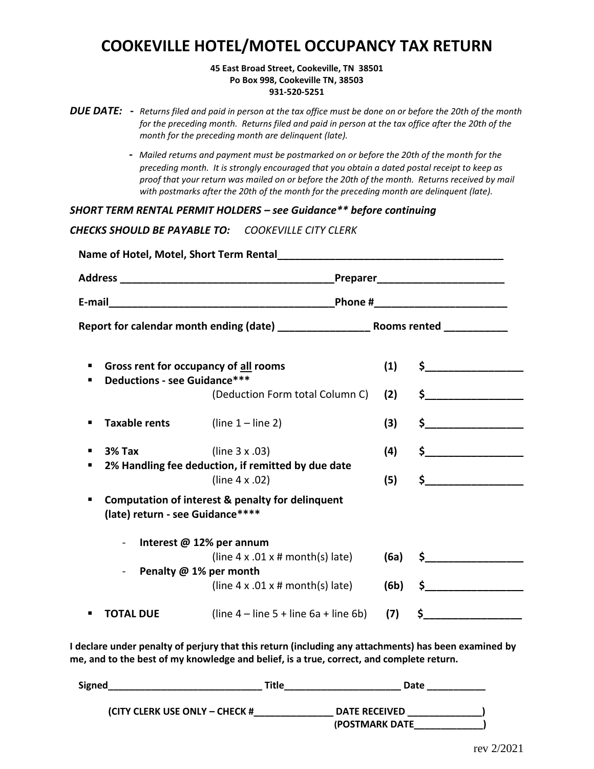# **COOKEVILLE HOTEL/MOTEL OCCUPANCY TAX RETURN**

### **45 East Broad Street, Cookeville, TN 38501 Po Box 998, Cookeville TN, 38503 931-520-5251**

|  | <b>DUE DATE:</b> - Returns filed and paid in person at the tax office must be done on or before the 20th of the month |
|--|-----------------------------------------------------------------------------------------------------------------------|
|  | for the preceding month. Returns filed and paid in person at the tax office after the 20th of the                     |
|  | month for the preceding month are delinguent (late).                                                                  |

 *- Mailed returns and payment must be postmarked on or before the 20th of the month for the preceding month. It is strongly encouraged that you obtain a dated postal receipt to keep as proof that your return was mailed on or before the 20th of the month. Returns received by mail with postmarks after the 20th of the month for the preceding month are delinquent (late).*

*SHORT TERM RENTAL PERMIT HOLDERS – see Guidance\*\* before continuing*

*CHECKS SHOULD BE PAYABLE TO: COOKEVILLE CITY CLERK*

|          |                                     |                                                                                | Preparer Preparer |                    |  |
|----------|-------------------------------------|--------------------------------------------------------------------------------|-------------------|--------------------|--|
|          |                                     | _Phone #___________________________                                            |                   |                    |  |
|          |                                     |                                                                                |                   |                    |  |
|          | <b>Deductions - see Guidance***</b> | Gross rent for occupancy of all rooms                                          | (1)               |                    |  |
|          |                                     | (Deduction Form total Column C)                                                | (2)               |                    |  |
|          | <b>Taxable rents</b>                | $(line 1 - line 2)$                                                            | (3)               | $\mathsf{\$}$      |  |
| $3%$ Tax |                                     | (line 3 x .03)                                                                 | (4)               | $\frac{1}{2}$      |  |
|          |                                     | 2% Handling fee deduction, if remitted by due date<br>(line 4 x .02)           | (5)               | $\sim$ $\sim$      |  |
|          | (late) return - see Guidance****    | Computation of interest & penalty for delinquent                               |                   |                    |  |
|          | $\qquad \qquad \blacksquare$        | Interest @ 12% per annum                                                       |                   |                    |  |
|          |                                     | (line $4 \times .01 \times \text{# month(s)}$ late)                            | (6a)              | $\sim$ 5           |  |
|          |                                     | Penalty @ 1% per month<br>(line $4 \times .01 \times \text{\# month(s)}$ late) | (6b)              | $\frac{1}{2}$      |  |
|          | TOTAL DUE                           | $(line 4 - line 5 + line 6a + line 6b)$                                        | (7)               | $\mathsf{\hat{S}}$ |  |

**I declare under penalty of perjury that this return (including any attachments) has been examined by me, and to the best of my knowledge and belief, is a true, correct, and complete return.**

| <b>Signed</b>                  | Title | Date                   |  |
|--------------------------------|-------|------------------------|--|
| (CITY CLERK USE ONLY – CHECK # |       | <b>DATE RECEIVED</b>   |  |
|                                |       | <b>(POSTMARK DATE)</b> |  |